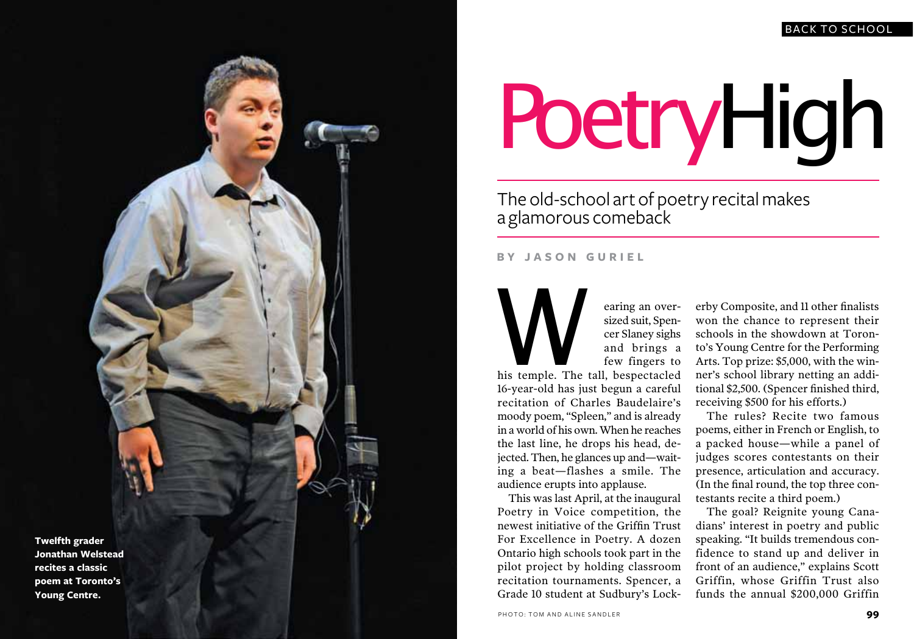## BACK TO SCHOOL



## PoetryHigh

The old-school art of poetry recital makes a glamorous comeback

**B Y JASON GURIEL**

earing an over-<br>sized suit, Spen-<br>cer Slaney sighs<br>and brings a<br>few fingers to<br>his temple. The tall, bespectacled earing an oversized suit, Spen cer Slaney sighs and brings a few fingers to

16-year-old has just begun a careful recitation of Charles Baudelaire's moody poem, "Spleen," and is already in a world of his own. When he reaches the last line, he drops his head, de jected. Then, he glances up and—waiting a beat—flashes a smile. The audience erupts into applause.

This was last April, at the inaugural Poetry in Voice competition, the newest initiative of the Griffin Trust For Excellence in Poetry. A dozen Ontario high schools took part in the pilot project by holding classroom recitation tournaments. Spencer, a Grade 10 student at Sudbury's Lock -

erby Composite, and 11 other finalists won the chance to represent their schools in the showdown at Toron to's Young Centre for the Performing Arts. Top prize: \$5,000, with the win ner's school library netting an addi tional \$2,500. (Spencer finished third, receiving \$500 for his efforts.)

The rules? Recite two famous poems, either in French or English, to a packed house—while a panel of judges scores contestants on their presence, articulation and accuracy. (In the final round, the top three con testants recite a third poem.)

The goal? Reignite young Cana dians' interest in poetry and public speaking. "It builds tremendous con fidence to stand up and deliver in front of an audience," explains Scott Griffin, whose Griffin Trust also funds the annual \$200,000 Griffin